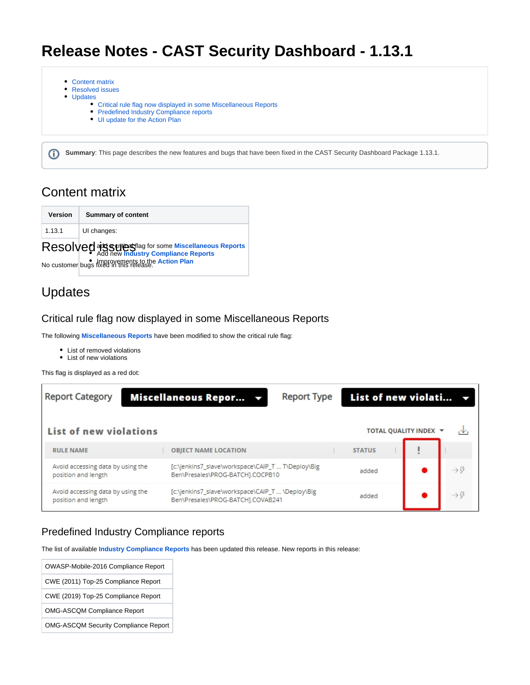# **Release Notes - CAST Security Dashboard - 1.13.1**

- [Content matrix](#page-0-0)
- [Resolved issues](#page-0-1)
- [Updates](#page-0-2)
	- [Critical rule flag now displayed in some Miscellaneous Reports](#page-0-3)
	- [Predefined Industry Compliance reports](#page-0-4)
	- [UI update for the Action Plan](#page-0-5)

**Summary**: This page describes the new features and bugs that have been fixed in the CAST Security Dashboard Package 1.13.1.

## <span id="page-0-0"></span>Content matrix

⋒

<span id="page-0-1"></span>

| Version | <b>Summary of content</b>                               |  |
|---------|---------------------------------------------------------|--|
| 1.13.1  | UI changes:                                             |  |
|         | Resolved at serious flag for some Miscellaneous Reports |  |
|         | No customer bugs fixed in this release.                 |  |

## <span id="page-0-2"></span>Updates

### <span id="page-0-3"></span>Critical rule flag now displayed in some Miscellaneous Reports

The following **[Miscellaneous Reports](https://doc.castsoftware.com/display/SECURITY/Security+Dashboard+-+Report+Generation)** have been modified to show the critical rule flag:

- List of removed violations
- List of new violations

This flag is displayed as a red dot:

| <b>Report Category</b>                                   | Miscellaneous Repor v                                                                 | <b>Report Type</b> | List of new violati |                       |                              |
|----------------------------------------------------------|---------------------------------------------------------------------------------------|--------------------|---------------------|-----------------------|------------------------------|
| List of new violations                                   |                                                                                       |                    |                     | TOTAL QUALITY INDEX Y | ıΨ                           |
| <b>RULE NAME</b>                                         | <b>OBJECT NAME LOCATION</b>                                                           |                    | <b>STATUS</b>       |                       |                              |
| Avoid accessing data by using the<br>position and length | [c:\jenkins7_slave\workspace\CAIP_T  T\Deploy\Big<br>Ben\Presales\PROG-BATCH1.COCPB10 |                    | added               |                       |                              |
| Avoid accessing data by using the<br>position and length | [c:\jenkins7_slave\workspace\CAIP_T  \Deploy\Big<br>Ben\Presales\PROG-BATCH].COVAB241 |                    | added               |                       | $\rightarrow$ $\ddot{\circ}$ |

### <span id="page-0-4"></span>Predefined Industry Compliance reports

The list of available **[Industry Compliance Reports](https://doc.castsoftware.com/display/SECURITY/Security+Dashboard+-+Report+Generation)** has been updated this release. New reports in this release:

<span id="page-0-5"></span>

| OWASP-Mobile-2016 Compliance Report         |
|---------------------------------------------|
| CWE (2011) Top-25 Compliance Report         |
| CWE (2019) Top-25 Compliance Report         |
| <b>OMG-ASCQM Compliance Report</b>          |
| <b>OMG-ASCQM Security Compliance Report</b> |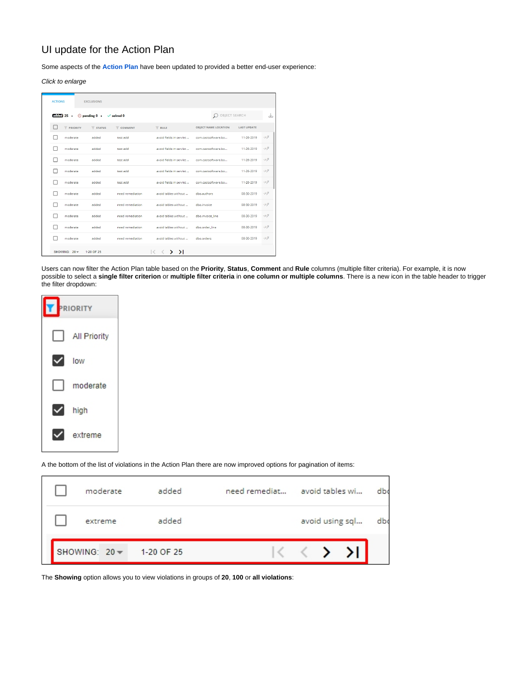## UI update for the Action Plan

Some aspects of the **[Action Plan](https://doc.castsoftware.com/display/SECURITY/Security+Dashboard+-+Action+Plan)** have been updated to provided a better end-user experience:

#### Click to enlarge

| <b>ACTIONS</b> |                                                                                                                                               | <b>EXCLUSIONS</b>              |                       |                                                                      |                             |                    |                           |
|----------------|-----------------------------------------------------------------------------------------------------------------------------------------------|--------------------------------|-----------------------|----------------------------------------------------------------------|-----------------------------|--------------------|---------------------------|
|                | $et$ and $et$ and $et$ and $et$ and $et$ and $et$ and $et$ and $et$ and $et$ and $et$ and $et$ and $et$ and $et$ and $et$ and $et$ and $et$ a | $\bigcirc$ pending 0 $\bullet$ | $\checkmark$ solved 0 |                                                                      | O OBJECT SEARCH             |                    | N,                        |
|                | <b>PRIORITY</b>                                                                                                                               | $T$ STATUS                     | <b>COMMENT</b>        | $V$ RULE                                                             | <b>OBJECT NAME LOCATION</b> | <b>LAST UPDATE</b> |                           |
|                | moderate                                                                                                                                      | added                          | test add              | avoid fields in servier                                              | com.castsoftware.bo         | 11-26-2019         | $\rightarrow$ $\beta$     |
|                | moderate                                                                                                                                      | added                          | test add              | avoid fields in servlet                                              | com.castsoftware.bo         | 11-26-2019         | $\rightarrow \mathcal{G}$ |
|                | moderate                                                                                                                                      | added                          | test add              | avoid fields in servier                                              | com.castsoftware.bo         | 11-26-2019         | $\rightarrow \mathcal{G}$ |
|                | moderate                                                                                                                                      | added                          | test add              | avoid fields in servlet                                              | com.castsoftware.bo         | 11-26-2019         | $\rightarrow \mathcal{G}$ |
|                | moderate                                                                                                                                      | added                          | test add              | avoid fields in servlet                                              | com.castsoftware.bo         | 11-26-2019         | $\rightarrow \mathcal{G}$ |
|                | moderate                                                                                                                                      | added                          | need remediation      | avoid tables without                                                 | dho.authors                 | 08-30-2019         | $\rightarrow \mathcal{G}$ |
|                | moderate                                                                                                                                      | added                          | need remediation      | avoid tables without                                                 | dho.invoice                 | 08-30-2019         | $\rightarrow$ $\sigma$    |
|                | moderate                                                                                                                                      | added                          | need remediation      | avoid tables without                                                 | dbo.invoice line            | 08-30-2019         | $\rightarrow \mathcal{G}$ |
|                | moderate                                                                                                                                      | added                          | need remediation      | avoid tables without                                                 | dbo.order_line              | 08-30-2019         | $\rightarrow \mathcal{G}$ |
|                | moderate                                                                                                                                      | added                          | need remediation      | avoid tables without                                                 | dho.orders                  | 08-30-2019         | $\rightarrow$ $\beta$     |
|                | $SHOMING: 20 -$                                                                                                                               | 1-20 OF 25                     |                       | $\mathcal{F}$<br>$\sim$<br>$\overline{\phantom{a}}$<br>$\mathcal{P}$ |                             |                    |                           |

Users can now filter the Action Plan table based on the **Priority**, **Status**, **Comment** and **Rule** columns (multiple filter criteria). For example, it is now possible to select a **single filter criterion** or **multiple filter criteria** in **one column or multiple columns**. There is a new icon in the table header to trigger the filter dropdown:

| <b>PRIORITY</b> |              |  |
|-----------------|--------------|--|
|                 | All Priority |  |
|                 | low          |  |
|                 | moderate     |  |
|                 | high         |  |
|                 | extreme      |  |

A the bottom of the list of violations in the Action Plan there are now improved options for pagination of items:

| moderate        | added      | need remediat |  | avoid tables wi | dbo |
|-----------------|------------|---------------|--|-----------------|-----|
| extreme         | added      |               |  | avoid using sql | dbo |
| SHOWING: $20 -$ | 1-20 OF 25 |               |  |                 |     |

The **Showing** option allows you to view violations in groups of **20**, **100** or **all violations**: